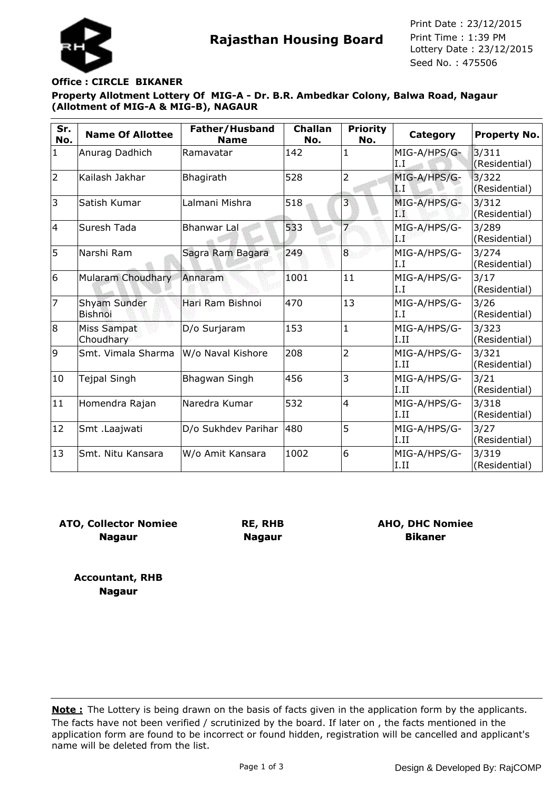



Seed No. : 475506 Print Date : 23/12/2015 Print Time : 1:39 PM

## **Office : CIRCLE BIKANER**

**Property Allotment Lottery Of MIG-A - Dr. B.R. Ambedkar Colony, Balwa Road, Nagaur (Allotment of MIG-A & MIG-B), NAGAUR**

| Sr.<br>No.     | <b>Name Of Allottee</b>        | Father/Husband<br><b>Name</b> | <b>Challan</b><br>No. | <b>Priority</b><br>No. | Category             | Property No.           |
|----------------|--------------------------------|-------------------------------|-----------------------|------------------------|----------------------|------------------------|
| $\mathbf{1}$   | Anurag Dadhich                 | Ramavatar                     | 142                   | 1                      | MIG-A/HPS/G-<br>I.I  | 3/311<br>(Residential) |
| $\overline{2}$ | Kailash Jakhar                 | Bhagirath                     | 528                   | $\overline{2}$         | MIG-A/HPS/G-<br>LI.  | 3/322<br>(Residential) |
| 3              | Satish Kumar                   | Lalmani Mishra                | 518                   | 3                      | MIG-A/HPS/G-<br>198  | 3/312<br>(Residential) |
| 4              | Suresh Tada                    | <b>Bhanwar Lal</b>            | 533                   | $\overline{7}$         | MIG-A/HPS/G-<br>d B  | 3/289<br>(Residential) |
| 5              | Narshi Ram                     | Sagra Ram Bagara              | 249                   | 8                      | MIG-A/HPS/G-<br>I.I  | 3/274<br>(Residential) |
| 6              | Mularam Choudhary              | Annaram                       | 1001                  | 11                     | MIG-A/HPS/G-<br>I.I  | 3/17<br>(Residential)  |
| 7              | Shyam Sunder<br><b>Bishnoi</b> | Hari Ram Bishnoi              | 470                   | 13                     | MIG-A/HPS/G-<br>I.I  | 3/26<br>(Residential)  |
| 8              | Miss Sampat<br>Choudhary       | D/o Surjaram                  | 153                   | $\mathbf{1}$           | MIG-A/HPS/G-<br>I.II | 3/323<br>(Residential) |
| 9              | Smt. Vimala Sharma             | W/o Naval Kishore             | 208                   | $\overline{2}$         | MIG-A/HPS/G-<br>I.II | 3/321<br>(Residential) |
| 10             | Tejpal Singh                   | Bhagwan Singh                 | 456                   | 3                      | MIG-A/HPS/G-<br>I.II | 3/21<br>(Residential)  |
| 11             | Homendra Rajan                 | Naredra Kumar                 | 532                   | $\overline{4}$         | MIG-A/HPS/G-<br>I.II | 3/318<br>(Residential) |
| 12             | Smt .Laajwati                  | D/o Sukhdev Parihar           | 480                   | 5                      | MIG-A/HPS/G-<br>I.II | 3/27<br>(Residential)  |
| 13             | Smt. Nitu Kansara              | W/o Amit Kansara              | 1002                  | 6                      | MIG-A/HPS/G-<br>I.II | 3/319<br>(Residential) |

**ATO, Collector Nomiee Nagaur**

**RE, RHB Nagaur**

**AHO, DHC Nomiee Bikaner**

**Accountant, RHB Nagaur**

The facts have not been verified / scrutinized by the board. If later on , the facts mentioned in the application form are found to be incorrect or found hidden, registration will be cancelled and applicant's name will be deleted from the list. **Note :** The Lottery is being drawn on the basis of facts given in the application form by the applicants.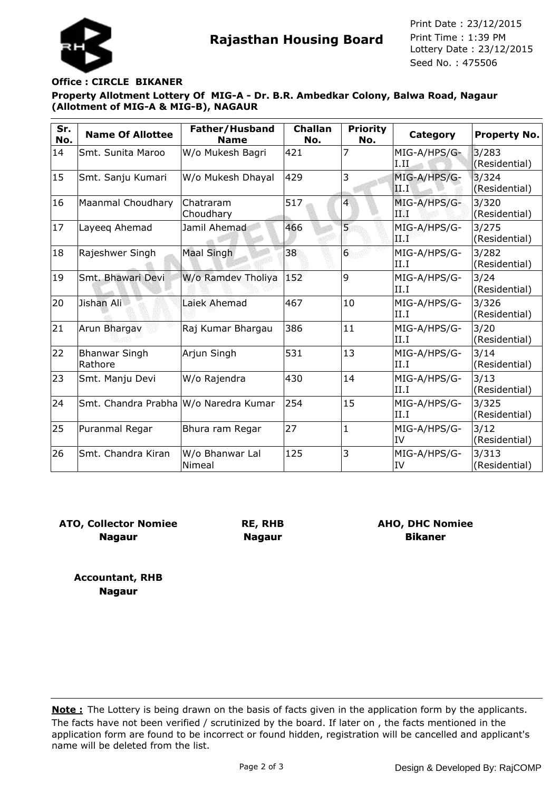



Seed No. : 475506 Print Date : 23/12/2015 Print Time : 1:39 PM

## **Office : CIRCLE BIKANER**

**Property Allotment Lottery Of MIG-A - Dr. B.R. Ambedkar Colony, Balwa Road, Nagaur (Allotment of MIG-A & MIG-B), NAGAUR**

| Sr.<br>No. | <b>Name Of Allottee</b>               | Father/Husband<br><b>Name</b> | <b>Challan</b><br>No. | <b>Priority</b><br>No. | Category                  | <b>Property No.</b>    |
|------------|---------------------------------------|-------------------------------|-----------------------|------------------------|---------------------------|------------------------|
| 14         | Smt. Sunita Maroo                     | W/o Mukesh Bagri              | 421                   | 7                      | MIG-A/HPS/G-<br>1.11      | 3/283<br>(Residential) |
| 15         | Smt. Sanju Kumari                     | W/o Mukesh Dhayal             | 429                   | 3                      | MIG-A/HPS/G-<br>II.I      | 3/324<br>(Residential) |
| 16         | Maanmal Choudhary                     | Chatraram<br>Choudhary        | 517                   | 4                      | MIG-A/HPS/G-<br>ТW        | 3/320<br>(Residential) |
| 17         | Layeeq Ahemad                         | Jamil Ahemad                  | 466                   | 5                      | MIG-A/HPS/G-<br>小学校。      | 3/275<br>(Residential) |
| 18         | Rajeshwer Singh                       | Maal Singh                    | 38                    | $\overline{6}$         | MIG-A/HPS/G-<br>II.I      | 3/282<br>(Residential) |
| 19         | Smt. Bhawari Devi                     | W/o Ramdev Tholiya            | 152                   | 9                      | MIG-A/HPS/G-<br>II.I      | 3/24<br>(Residential)  |
| 20         | Jishan Ali                            | Laiek Ahemad                  | 467                   | 10                     | MIG-A/HPS/G-<br>II.I      | 3/326<br>(Residential) |
| 21         | Arun Bhargav                          | Raj Kumar Bhargau             | 386                   | 11                     | MIG-A/HPS/G-<br>II.I      | 3/20<br>(Residential)  |
| 22         | <b>Bhanwar Singh</b><br>Rathore       | Arjun Singh                   | 531                   | 13                     | MIG-A/HPS/G-<br>II.I      | 3/14<br>(Residential)  |
| 23         | Smt. Manju Devi                       | W/o Rajendra                  | 430                   | 14                     | MIG-A/HPS/G-<br>II.I      | 3/13<br>(Residential)  |
| 24         | Smt. Chandra Prabha W/o Naredra Kumar |                               | 254                   | 15                     | MIG-A/HPS/G-<br>II.I      | 3/325<br>(Residential) |
| 25         | Puranmal Regar                        | Bhura ram Regar               | 27                    | $\mathbf{1}$           | MIG-A/HPS/G-<br><b>IV</b> | 3/12<br>(Residential)  |
| 26         | Smt. Chandra Kiran                    | W/o Bhanwar Lal<br>Nimeal     | 125                   | 3                      | MIG-A/HPS/G-<br>IV        | 3/313<br>(Residential) |

**ATO, Collector Nomiee Nagaur**

**RE, RHB Nagaur**

**AHO, DHC Nomiee Bikaner**

**Accountant, RHB Nagaur**

The facts have not been verified / scrutinized by the board. If later on , the facts mentioned in the application form are found to be incorrect or found hidden, registration will be cancelled and applicant's name will be deleted from the list. **Note :** The Lottery is being drawn on the basis of facts given in the application form by the applicants.